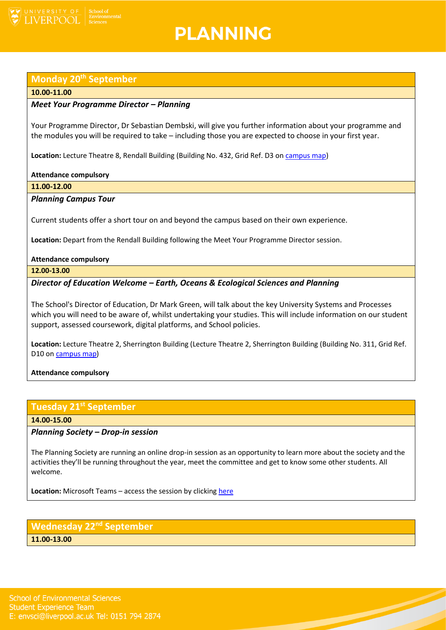

## **PLANNING**

## **Monday 20th September**

### **10.00-11.00**

## *Meet Your Programme Director – Planning*

Your Programme Director, Dr Sebastian Dembski, will give you further information about your programme and the modules you will be required to take – including those you are expected to choose in your first year.

Location: Lecture Theatre 8, Rendall Building (Building No. 432, Grid Ref. D3 on [campus map\)](https://www.liverpool.ac.uk/media/livacuk/maps/Campus,Map,2020_0903.pdf)

### **Attendance compulsory**

**11.00-12.00**

## *Planning Campus Tour*

Current students offer a short tour on and beyond the campus based on their own experience.

**Location:** Depart from the Rendall Building following the Meet Your Programme Director session.

### **Attendance compulsory**

**12.00-13.00**

## *Director of Education Welcome – Earth, Oceans & Ecological Sciences and Planning*

The School's Director of Education, Dr Mark Green, will talk about the key University Systems and Processes which you will need to be aware of, whilst undertaking your studies. This will include information on our student support, assessed coursework, digital platforms, and School policies.

**Location:** Lecture Theatre 2, Sherrington Building (Lecture Theatre 2, Sherrington Building (Building No. 311, Grid Ref. D10 o[n campus map\)](https://www.liverpool.ac.uk/media/livacuk/maps/Campus,Map,2020_0903.pdf)

## **Attendance compulsory**

## **Tuesday 21st September**

**14.00-15.00**

## *Planning Society – Drop-in session*

The Planning Society are running an online drop-in session as an opportunity to learn more about the society and the activities they'll be running throughout the year, meet the committee and get to know some other students. All welcome.

**Location:** Microsoft Teams – access the session by clicking [here](https://teams.microsoft.com/l/meetup-join/19%3ameeting_M2Q2MGM2NzgtZTI5Yy00MTVmLWIzODktOWEzNmI4ZjkxNGE3%40thread.v2/0?context=%7b%22Tid%22%3a%2253255131-b129-4010-86e1-474bfd7e8076%22%2c%22Oid%22%3a%2200ef987e-fd61-402b-b7a2-685492d33fc0%22%7d)

## **Wednesday 22nd September 11.00-13.00**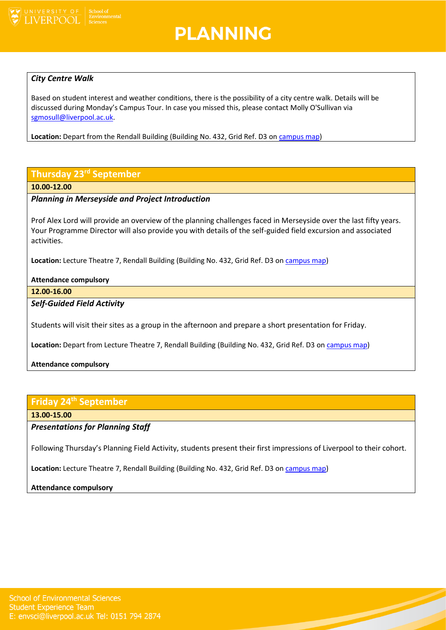

## **PLANNING**

## *City Centre Walk*

Based on student interest and weather conditions, there is the possibility of a city centre walk. Details will be discussed during Monday's Campus Tour. In case you missed this, please contact Molly O'Sullivan via [sgmosull@liverpool.ac.uk.](mailto:sgmosull@liverpool.ac.uk)

**Location:** Depart from the Rendall Building (Building No. 432, Grid Ref. D3 o[n campus map\)](https://www.liverpool.ac.uk/media/livacuk/maps/Campus,Map,2020_0903.pdf)

## **Thursday 23rd September**

#### **10.00-12.00**

## *Planning in Merseyside and Project Introduction*

Prof Alex Lord will provide an overview of the planning challenges faced in Merseyside over the last fifty years. Your Programme Director will also provide you with details of the self-guided field excursion and associated activities.

**Location:** Lecture Theatre 7, Rendall Building (Building No. 432, Grid Ref. D3 on [campus map\)](https://www.liverpool.ac.uk/media/livacuk/maps/Campus,Map,2020_0903.pdf)

### **Attendance compulsory**

**12.00-16.00**

## *Self-Guided Field Activity*

Students will visit their sites as a group in the afternoon and prepare a short presentation for Friday.

Location: Depart from Lecture Theatre 7, Rendall Building (Building No. 432, Grid Ref. D3 on *campus map*)

## **Attendance compulsory**

## **Friday 24th September**

## **13.00-15.00**

## *Presentations for Planning Staff*

Following Thursday's Planning Field Activity, students present their first impressions of Liverpool to their cohort.

**Location:** Lecture Theatre 7, Rendall Building (Building No. 432, Grid Ref. D3 on [campus map\)](https://www.liverpool.ac.uk/media/livacuk/maps/Campus,Map,2020_0903.pdf)

## **Attendance compulsory**